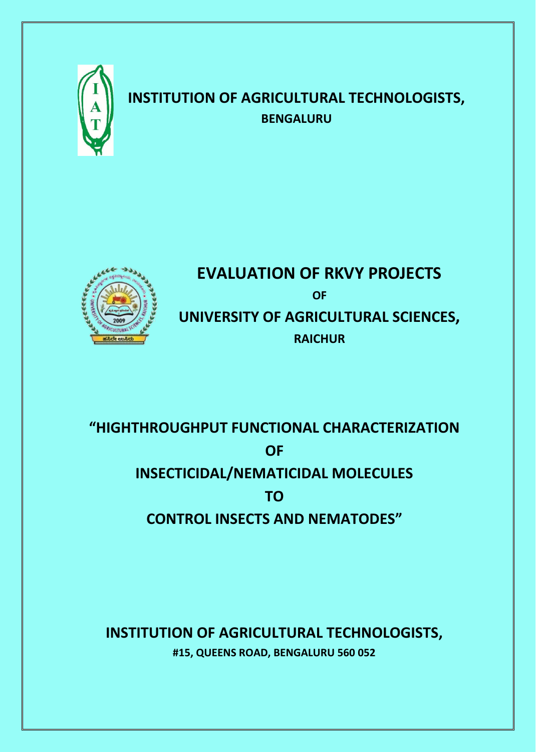

# **INSTITUTION OF AGRICULTURAL TECHNOLOGISTS, BENGALURU**



# **EVALUATION OF RKVY PROJECTS OF UNIVERSITY OF AGRICULTURAL SCIENCES, RAICHUR**

# **"HIGHTHROUGHPUT FUNCTIONAL CHARACTERIZATION OF INSECTICIDAL/NEMATICIDAL MOLECULES TO CONTROL INSECTS AND NEMATODES"**

**INSTITUTION OF AGRICULTURAL TECHNOLOGISTS, #15, QUEENS ROAD, BENGALURU 560 052**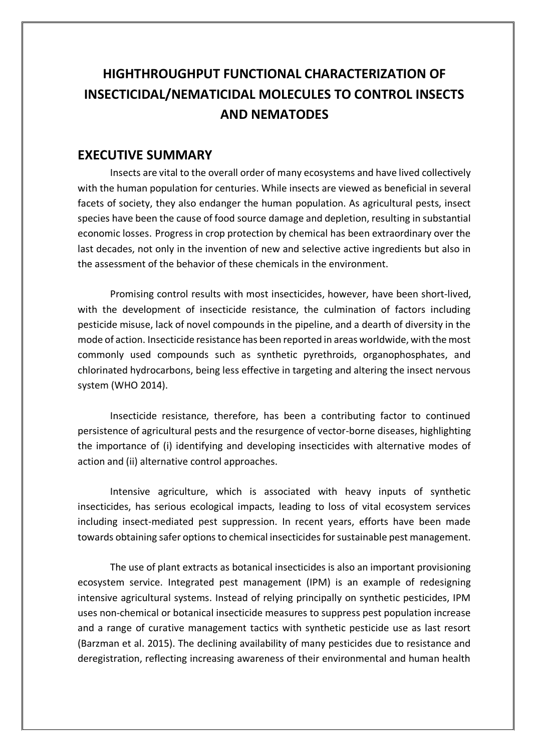## **EXECUTIVE SUMMARY**

Insects are vital to the overall order of many ecosystems and have lived collectively with the human population for centuries. While insects are viewed as beneficial in several facets of society, they also endanger the human population. As agricultural pests, insect species have been the cause of food source damage and depletion, resulting in substantial economic losses. Progress in crop protection by chemical has been extraordinary over the last decades, not only in the invention of new and selective active ingredients but also in the assessment of the behavior of these chemicals in the environment.

Promising control results with most insecticides, however, have been short-lived, with the development of insecticide resistance, the culmination of factors including pesticide misuse, lack of novel compounds in the pipeline, and a dearth of diversity in the mode of action. Insecticide resistance has been reported in areas worldwide, with the most commonly used compounds such as synthetic pyrethroids, organophosphates, and chlorinated hydrocarbons, being less effective in targeting and altering the insect nervous system (WHO 2014).

Insecticide resistance, therefore, has been a contributing factor to continued persistence of agricultural pests and the resurgence of vector-borne diseases, highlighting the importance of (i) identifying and developing insecticides with alternative modes of action and (ii) alternative control approaches.

Intensive agriculture, which is associated with heavy inputs of synthetic insecticides, has serious ecological impacts, leading to loss of vital ecosystem services including insect-mediated pest suppression. In recent years, efforts have been made towards obtaining safer options to chemical insecticides for sustainable pest management.

The use of plant extracts as botanical insecticides is also an important provisioning ecosystem service. Integrated pest management (IPM) is an example of redesigning intensive agricultural systems. Instead of relying principally on synthetic pesticides, IPM uses non-chemical or botanical insecticide measures to suppress pest population increase and a range of curative management tactics with synthetic pesticide use as last resort (Barzman et al. 2015). The declining availability of many pesticides due to resistance and deregistration, reflecting increasing awareness of their environmental and human health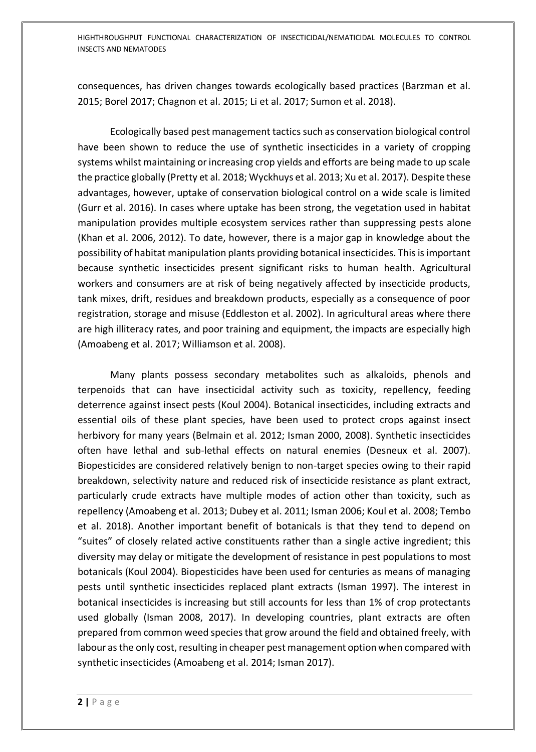consequences, has driven changes towards ecologically based practices (Barzman et al. 2015; Borel 2017; Chagnon et al. 2015; Li et al. 2017; Sumon et al. 2018).

Ecologically based pest management tactics such as conservation biological control have been shown to reduce the use of synthetic insecticides in a variety of cropping systems whilst maintaining or increasing crop yields and efforts are being made to up scale the practice globally (Pretty et al. 2018; Wyckhuys et al. 2013; Xu et al. 2017). Despite these advantages, however, uptake of conservation biological control on a wide scale is limited (Gurr et al. 2016). In cases where uptake has been strong, the vegetation used in habitat manipulation provides multiple ecosystem services rather than suppressing pests alone (Khan et al. 2006, 2012). To date, however, there is a major gap in knowledge about the possibility of habitat manipulation plants providing botanical insecticides. This is important because synthetic insecticides present significant risks to human health. Agricultural workers and consumers are at risk of being negatively affected by insecticide products, tank mixes, drift, residues and breakdown products, especially as a consequence of poor registration, storage and misuse (Eddleston et al. 2002). In agricultural areas where there are high illiteracy rates, and poor training and equipment, the impacts are especially high (Amoabeng et al. 2017; Williamson et al. 2008).

Many plants possess secondary metabolites such as alkaloids, phenols and terpenoids that can have insecticidal activity such as toxicity, repellency, feeding deterrence against insect pests (Koul 2004). Botanical insecticides, including extracts and essential oils of these plant species, have been used to protect crops against insect herbivory for many years (Belmain et al. 2012; Isman 2000, 2008). Synthetic insecticides often have lethal and sub-lethal effects on natural enemies (Desneux et al. 2007). Biopesticides are considered relatively benign to non-target species owing to their rapid breakdown, selectivity nature and reduced risk of insecticide resistance as plant extract, particularly crude extracts have multiple modes of action other than toxicity, such as repellency (Amoabeng et al. 2013; Dubey et al. 2011; Isman 2006; Koul et al. 2008; Tembo et al. 2018). Another important benefit of botanicals is that they tend to depend on "suites" of closely related active constituents rather than a single active ingredient; this diversity may delay or mitigate the development of resistance in pest populations to most botanicals (Koul 2004). Biopesticides have been used for centuries as means of managing pests until synthetic insecticides replaced plant extracts (Isman 1997). The interest in botanical insecticides is increasing but still accounts for less than 1% of crop protectants used globally (Isman 2008, 2017). In developing countries, plant extracts are often prepared from common weed species that grow around the field and obtained freely, with labour as the only cost, resulting in cheaper pest management option when compared with synthetic insecticides (Amoabeng et al. 2014; Isman 2017).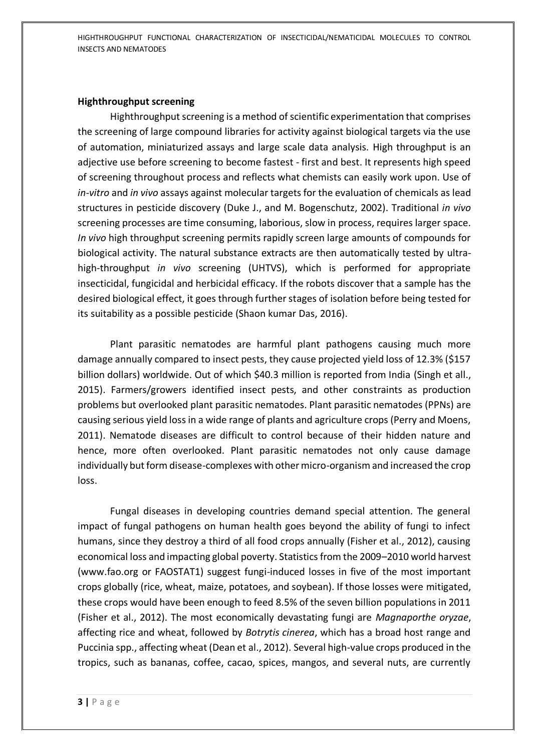#### **Highthroughput screening**

Highthroughput screening is a method of scientific experimentation that comprises the screening of large compound libraries for activity against biological targets via the use of automation, miniaturized assays and large scale data analysis. High throughput is an adjective use before screening to become fastest - first and best. It represents high speed of screening throughout process and reflects what chemists can easily work upon. Use of *in-vitro* and *in vivo* assays against molecular targets for the evaluation of chemicals as lead structures in pesticide discovery (Duke J., and M. Bogenschutz, 2002). Traditional *in vivo* screening processes are time consuming, laborious, slow in process, requires larger space. *In vivo* high throughput screening permits rapidly screen large amounts of compounds for biological activity. The natural substance extracts are then automatically tested by ultrahigh-throughput *in vivo* screening (UHTVS), which is performed for appropriate insecticidal, fungicidal and herbicidal efficacy. If the robots discover that a sample has the desired biological effect, it goes through further stages of isolation before being tested for its suitability as a possible pesticide (Shaon kumar Das, 2016).

Plant parasitic nematodes are harmful plant pathogens causing much more damage annually compared to insect pests, they cause projected yield loss of 12.3% (\$157 billion dollars) worldwide. Out of which \$40.3 million is reported from India (Singh et all., 2015). Farmers/growers identified insect pests, and other constraints as production problems but overlooked plant parasitic nematodes. Plant parasitic nematodes (PPNs) are causing serious yield loss in a wide range of plants and agriculture crops (Perry and Moens, 2011). Nematode diseases are difficult to control because of their hidden nature and hence, more often overlooked. Plant parasitic nematodes not only cause damage individually but form disease-complexes with other micro-organism and increased the crop loss.

Fungal diseases in developing countries demand special attention. The general impact of fungal pathogens on human health goes beyond the ability of fungi to infect humans, since they destroy a third of all food crops annually (Fisher et al., 2012), causing economical loss and impacting global poverty. Statistics from the 2009–2010 world harvest (www.fao.org or FAOSTAT1) suggest fungi-induced losses in five of the most important crops globally (rice, wheat, maize, potatoes, and soybean). If those losses were mitigated, these crops would have been enough to feed 8.5% of the seven billion populations in 2011 (Fisher et al., 2012). The most economically devastating fungi are *Magnaporthe oryzae*, affecting rice and wheat, followed by *Botrytis cinerea*, which has a broad host range and Puccinia spp., affecting wheat (Dean et al., 2012). Several high-value crops produced in the tropics, such as bananas, coffee, cacao, spices, mangos, and several nuts, are currently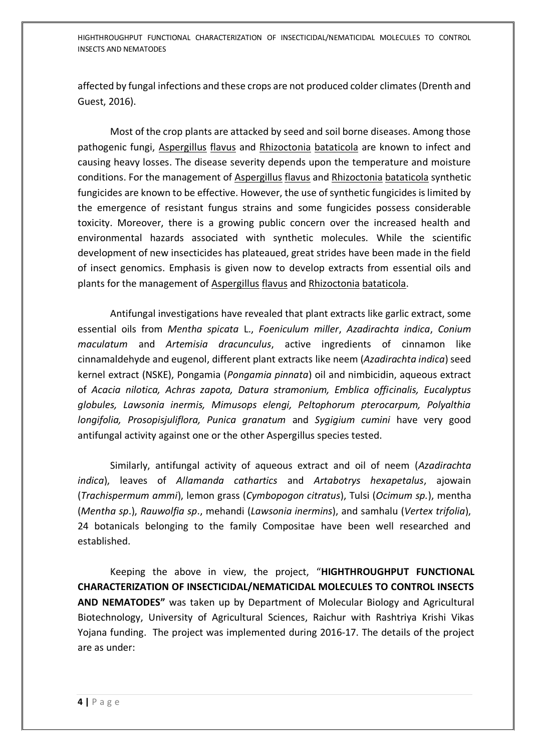affected by fungal infections and these crops are not produced colder climates (Drenth and Guest, 2016).

Most of the crop plants are attacked by seed and soil borne diseases. Among those pathogenic fungi, Aspergillus flavus and Rhizoctonia bataticola are known to infect and causing heavy losses. The disease severity depends upon the temperature and moisture conditions. For the management of Aspergillus flavus and Rhizoctonia bataticola synthetic fungicides are known to be effective. However, the use of synthetic fungicides is limited by the emergence of resistant fungus strains and some fungicides possess considerable toxicity. Moreover, there is a growing public concern over the increased health and environmental hazards associated with synthetic molecules. While the scientific development of new insecticides has plateaued, great strides have been made in the field of insect genomics. Emphasis is given now to develop extracts from essential oils and plants for the management of Aspergillus flavus and Rhizoctonia bataticola.

Antifungal investigations have revealed that plant extracts like garlic extract, some essential oils from *Mentha spicata* L., *Foeniculum miller*, *Azadirachta indica*, *Conium maculatum* and *Artemisia dracunculus*, active ingredients of cinnamon like cinnamaldehyde and eugenol, different plant extracts like neem (*Azadirachta indica*) seed kernel extract (NSKE), Pongamia (*Pongamia pinnata*) oil and nimbicidin, aqueous extract of *Acacia nilotica, Achras zapota, Datura stramonium, Emblica officinalis, Eucalyptus globules, Lawsonia inermis, Mimusops elengi, Peltophorum pterocarpum, Polyalthia longifolia, Prosopisjuliflora, Punica granatum* and *Sygigium cumini* have very good antifungal activity against one or the other Aspergillus species tested.

Similarly, antifungal activity of aqueous extract and oil of neem (*Azadirachta indica*), leaves of *Allamanda cathartics* and *Artabotrys hexapetalus*, ajowain (*Trachispermum ammi*), lemon grass (*Cymbopogon citratus*), Tulsi (*Ocimum sp.*), mentha (*Mentha sp*.), *Rauwolfia sp*., mehandi (*Lawsonia inermins*), and samhalu (*Vertex trifolia*), 24 botanicals belonging to the family Compositae have been well researched and established.

Keeping the above in view, the project, "**HIGHTHROUGHPUT FUNCTIONAL CHARACTERIZATION OF INSECTICIDAL/NEMATICIDAL MOLECULES TO CONTROL INSECTS AND NEMATODES"** was taken up by Department of Molecular Biology and Agricultural Biotechnology, University of Agricultural Sciences, Raichur with Rashtriya Krishi Vikas Yojana funding. The project was implemented during 2016-17. The details of the project are as under: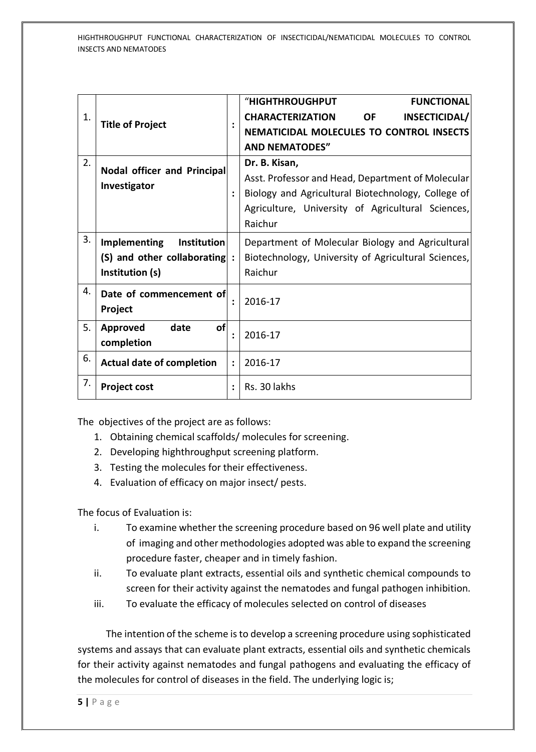|    |                                                        |                | <b>"HIGHTHROUGHPUT</b><br><b>FUNCTIONAL</b>           |
|----|--------------------------------------------------------|----------------|-------------------------------------------------------|
| 1. | <b>Title of Project</b>                                | $\ddot{\cdot}$ | <b>CHARACTERIZATION</b><br><b>OF</b><br>INSECTICIDAL/ |
|    |                                                        |                | <b>NEMATICIDAL MOLECULES TO CONTROL INSECTS</b>       |
|    |                                                        |                | <b>AND NEMATODES"</b>                                 |
| 2. | Nodal officer and Principal<br>Investigator            |                | Dr. B. Kisan,                                         |
|    |                                                        |                | Asst. Professor and Head, Department of Molecular     |
|    |                                                        |                | Biology and Agricultural Biotechnology, College of    |
|    |                                                        |                | Agriculture, University of Agricultural Sciences,     |
|    |                                                        |                | Raichur                                               |
| 3. | <b>Implementing</b><br>Institution                     |                | Department of Molecular Biology and Agricultural      |
|    | (S) and other collaborating :                          |                | Biotechnology, University of Agricultural Sciences,   |
|    | Institution (s)                                        |                | Raichur                                               |
| 4. | Date of commencement of                                |                |                                                       |
|    | Project                                                |                | 2016-17                                               |
| 5. | date<br>Approved<br>οf<br>$\ddot{\cdot}$<br>completion |                | 2016-17                                               |
|    |                                                        |                |                                                       |
| 6. | <b>Actual date of completion</b>                       |                | 2016-17                                               |
| 7. | <b>Project cost</b>                                    | $\ddot{\cdot}$ | Rs. 30 lakhs                                          |

The objectives of the project are as follows:

- 1. Obtaining chemical scaffolds/ molecules for screening.
- 2. Developing highthroughput screening platform.
- 3. Testing the molecules for their effectiveness.
- 4. Evaluation of efficacy on major insect/ pests.

The focus of Evaluation is:

- i. To examine whether the screening procedure based on 96 well plate and utility of imaging and other methodologies adopted was able to expand the screening procedure faster, cheaper and in timely fashion.
- ii. To evaluate plant extracts, essential oils and synthetic chemical compounds to screen for their activity against the nematodes and fungal pathogen inhibition.
- iii. To evaluate the efficacy of molecules selected on control of diseases

 The intention of the scheme is to develop a screening procedure using sophisticated systems and assays that can evaluate plant extracts, essential oils and synthetic chemicals for their activity against nematodes and fungal pathogens and evaluating the efficacy of the molecules for control of diseases in the field. The underlying logic is;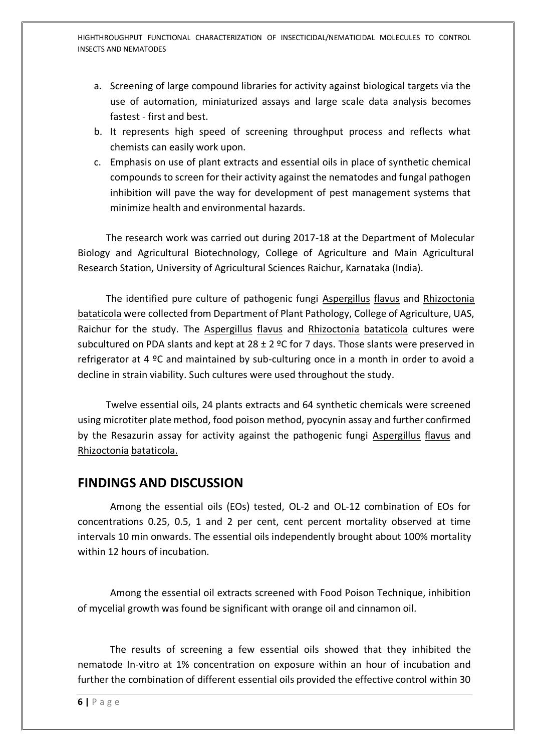- a. Screening of large compound libraries for activity against biological targets via the use of automation, miniaturized assays and large scale data analysis becomes fastest - first and best.
- b. It represents high speed of screening throughput process and reflects what chemists can easily work upon.
- c. Emphasis on use of plant extracts and essential oils in place of synthetic chemical compounds to screen for their activity against the nematodes and fungal pathogen inhibition will pave the way for development of pest management systems that minimize health and environmental hazards.

 The research work was carried out during 2017-18 at the Department of Molecular Biology and Agricultural Biotechnology, College of Agriculture and Main Agricultural Research Station, University of Agricultural Sciences Raichur, Karnataka (India).

 The identified pure culture of pathogenic fungi Aspergillus flavus and Rhizoctonia bataticola were collected from Department of Plant Pathology, College of Agriculture, UAS, Raichur for the study. The Aspergillus flavus and Rhizoctonia bataticola cultures were subcultured on PDA slants and kept at  $28 \pm 2$  °C for 7 days. Those slants were preserved in refrigerator at 4 ºC and maintained by sub-culturing once in a month in order to avoid a decline in strain viability. Such cultures were used throughout the study.

 Twelve essential oils, 24 plants extracts and 64 synthetic chemicals were screened using microtiter plate method, food poison method, pyocynin assay and further confirmed by the Resazurin assay for activity against the pathogenic fungi Aspergillus flavus and Rhizoctonia bataticola.

### **FINDINGS AND DISCUSSION**

Among the essential oils (EOs) tested, OL-2 and OL-12 combination of EOs for concentrations 0.25, 0.5, 1 and 2 per cent, cent percent mortality observed at time intervals 10 min onwards. The essential oils independently brought about 100% mortality within 12 hours of incubation.

Among the essential oil extracts screened with Food Poison Technique, inhibition of mycelial growth was found be significant with orange oil and cinnamon oil.

The results of screening a few essential oils showed that they inhibited the nematode In-vitro at 1% concentration on exposure within an hour of incubation and further the combination of different essential oils provided the effective control within 30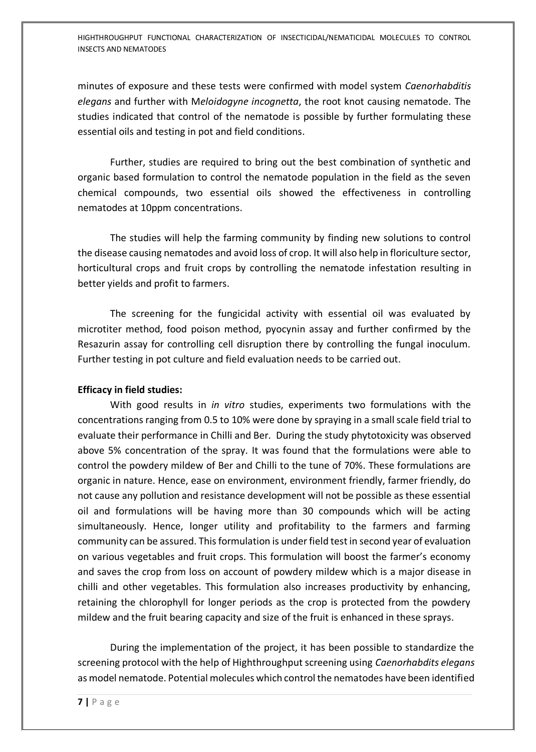minutes of exposure and these tests were confirmed with model system *Caenorhabditis elegans* and further with M*eloidogyne incognetta*, the root knot causing nematode. The studies indicated that control of the nematode is possible by further formulating these essential oils and testing in pot and field conditions.

Further, studies are required to bring out the best combination of synthetic and organic based formulation to control the nematode population in the field as the seven chemical compounds, two essential oils showed the effectiveness in controlling nematodes at 10ppm concentrations.

The studies will help the farming community by finding new solutions to control the disease causing nematodes and avoid loss of crop. It will also help in floriculture sector, horticultural crops and fruit crops by controlling the nematode infestation resulting in better yields and profit to farmers.

The screening for the fungicidal activity with essential oil was evaluated by microtiter method, food poison method, pyocynin assay and further confirmed by the Resazurin assay for controlling cell disruption there by controlling the fungal inoculum. Further testing in pot culture and field evaluation needs to be carried out.

#### **Efficacy in field studies:**

With good results in *in vitro* studies, experiments two formulations with the concentrations ranging from 0.5 to 10% were done by spraying in a small scale field trial to evaluate their performance in Chilli and Ber. During the study phytotoxicity was observed above 5% concentration of the spray. It was found that the formulations were able to control the powdery mildew of Ber and Chilli to the tune of 70%. These formulations are organic in nature. Hence, ease on environment, environment friendly, farmer friendly, do not cause any pollution and resistance development will not be possible as these essential oil and formulations will be having more than 30 compounds which will be acting simultaneously. Hence, longer utility and profitability to the farmers and farming community can be assured. This formulation is under field test in second year of evaluation on various vegetables and fruit crops. This formulation will boost the farmer's economy and saves the crop from loss on account of powdery mildew which is a major disease in chilli and other vegetables. This formulation also increases productivity by enhancing, retaining the chlorophyll for longer periods as the crop is protected from the powdery mildew and the fruit bearing capacity and size of the fruit is enhanced in these sprays.

During the implementation of the project, it has been possible to standardize the screening protocol with the help of Highthroughput screening using *Caenorhabdits elegans* as model nematode. Potential molecules which control the nematodes have been identified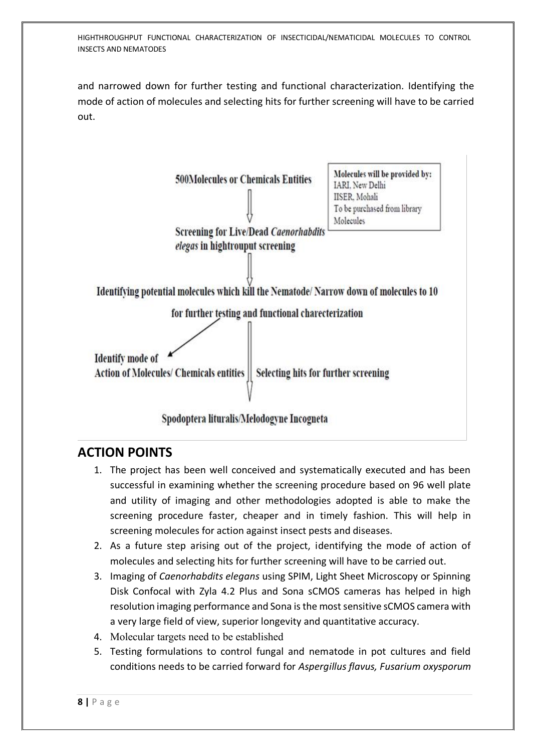and narrowed down for further testing and functional characterization. Identifying the mode of action of molecules and selecting hits for further screening will have to be carried out.



## **ACTION POINTS**

- 1. The project has been well conceived and systematically executed and has been successful in examining whether the screening procedure based on 96 well plate and utility of imaging and other methodologies adopted is able to make the screening procedure faster, cheaper and in timely fashion. This will help in screening molecules for action against insect pests and diseases.
- 2. As a future step arising out of the project, identifying the mode of action of molecules and selecting hits for further screening will have to be carried out.
- 3. Imaging of *Caenorhabdits elegans* using SPIM, Light Sheet Microscopy or Spinning Disk Confocal with Zyla 4.2 Plus and Sona sCMOS cameras has helped in high resolution imaging performance and Sona is the most sensitive sCMOS camera with a very large field of view, superior longevity and quantitative accuracy.
- 4. Molecular targets need to be established
- 5. Testing formulations to control fungal and nematode in pot cultures and field conditions needs to be carried forward for *Aspergillus flavus, Fusarium oxysporum*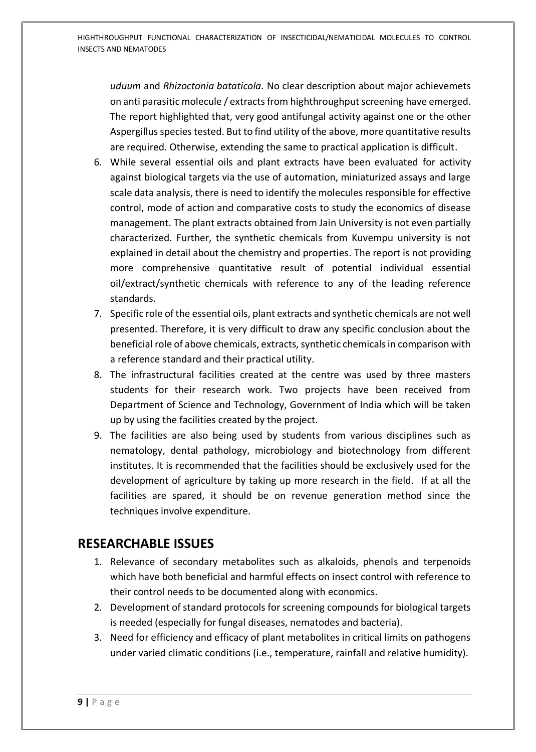*uduum* and *Rhizoctonia bataticola.* No clear description about major achievemets on anti parasitic molecule / extracts from highthroughput screening have emerged. The report highlighted that, very good antifungal activity against one or the other Aspergillus species tested. But to find utility of the above, more quantitative results are required. Otherwise, extending the same to practical application is difficult.

- 6. While several essential oils and plant extracts have been evaluated for activity against biological targets via the use of automation, miniaturized assays and large scale data analysis, there is need to identify the molecules responsible for effective control, mode of action and comparative costs to study the economics of disease management. The plant extracts obtained from Jain University is not even partially characterized. Further, the synthetic chemicals from Kuvempu university is not explained in detail about the chemistry and properties. The report is not providing more comprehensive quantitative result of potential individual essential oil/extract/synthetic chemicals with reference to any of the leading reference standards.
- 7. Specific role of the essential oils, plant extracts and synthetic chemicals are not well presented. Therefore, it is very difficult to draw any specific conclusion about the beneficial role of above chemicals, extracts, synthetic chemicals in comparison with a reference standard and their practical utility.
- 8. The infrastructural facilities created at the centre was used by three masters students for their research work. Two projects have been received from Department of Science and Technology, Government of India which will be taken up by using the facilities created by the project.
- 9. The facilities are also being used by students from various disciplines such as nematology, dental pathology, microbiology and biotechnology from different institutes. It is recommended that the facilities should be exclusively used for the development of agriculture by taking up more research in the field. If at all the facilities are spared, it should be on revenue generation method since the techniques involve expenditure.

## **RESEARCHABLE ISSUES**

- 1. Relevance of secondary metabolites such as alkaloids, phenols and terpenoids which have both beneficial and harmful effects on insect control with reference to their control needs to be documented along with economics.
- 2. Development of standard protocols for screening compounds for biological targets is needed (especially for fungal diseases, nematodes and bacteria).
- 3. Need for efficiency and efficacy of plant metabolites in critical limits on pathogens under varied climatic conditions (i.e., temperature, rainfall and relative humidity).